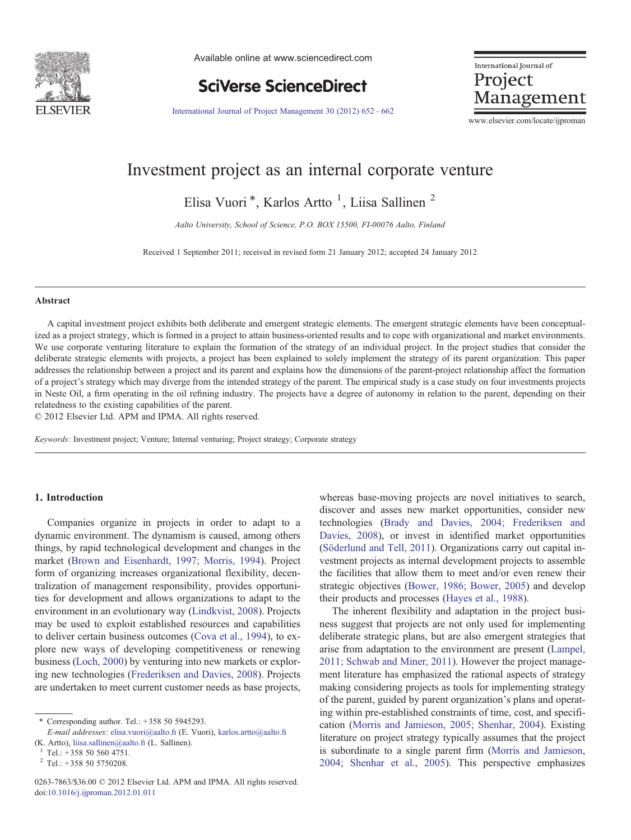

Available online at www.sciencedirect.com

**SciVerse ScienceDirect** 

International Journal of Project Management

[International Journal of Project Management 30 \(2012\) 652](http://dx.doi.org/10.1016/j.ijproman.2012.01.011)–662

www.elsevier.com/locate/ijproman

## Investment project as an internal corporate venture

Elisa Vuori<sup>\*</sup>, Karlos Artto<sup>1</sup>, Liisa Sallinen<sup>2</sup>

Aalto University, School of Science, P.O. BOX 15500, FI-00076 Aalto, Finland

Received 1 September 2011; received in revised form 21 January 2012; accepted 24 January 2012

#### Abstract

A capital investment project exhibits both deliberate and emergent strategic elements. The emergent strategic elements have been conceptualized as a project strategy, which is formed in a project to attain business-oriented results and to cope with organizational and market environments. We use corporate venturing literature to explain the formation of the strategy of an individual project. In the project studies that consider the deliberate strategic elements with projects, a project has been explained to solely implement the strategy of its parent organization: This paper addresses the relationship between a project and its parent and explains how the dimensions of the parent-project relationship affect the formation of a project's strategy which may diverge from the intended strategy of the parent. The empirical study is a case study on four investments projects in Neste Oil, a firm operating in the oil refining industry. The projects have a degree of autonomy in relation to the parent, depending on their relatedness to the existing capabilities of the parent.

© 2012 Elsevier Ltd. APM and IPMA. All rights reserved.

Keywords: Investment project; Venture; Internal venturing; Project strategy; Corporate strategy

### 1. Introduction

Companies organize in projects in order to adapt to a dynamic environment. The dynamism is caused, among others things, by rapid technological development and changes in the market [\(Brown and Eisenhardt, 1997; Morris, 1994](#page--1-0)). Project form of organizing increases organizational flexibility, decentralization of management responsibility, provides opportunities for development and allows organizations to adapt to the environment in an evolutionary way [\(Lindkvist, 2008](#page--1-0)). Projects may be used to exploit established resources and capabilities to deliver certain business outcomes [\(Cova et al., 1994](#page--1-0)), to explore new ways of developing competitiveness or renewing business ([Loch, 2000\)](#page--1-0) by venturing into new markets or exploring new technologies ([Frederiksen and Davies, 2008](#page--1-0)). Projects are undertaken to meet current customer needs as base projects,

whereas base-moving projects are novel initiatives to search, discover and asses new market opportunities, consider new technologies ([Brady and Davies, 2004; Frederiksen and](#page--1-0) [Davies, 2008](#page--1-0)), or invest in identified market opportunities ([Söderlund and Tell, 2011](#page--1-0)). Organizations carry out capital investment projects as internal development projects to assemble the facilities that allow them to meet and/or even renew their strategic objectives [\(Bower, 1986; Bower, 2005\)](#page--1-0) and develop their products and processes [\(Hayes et al., 1988\)](#page--1-0).

The inherent flexibility and adaptation in the project business suggest that projects are not only used for implementing deliberate strategic plans, but are also emergent strategies that arise from adaptation to the environment are present [\(Lampel,](#page--1-0) [2011; Schwab and Miner, 2011](#page--1-0)). However the project management literature has emphasized the rational aspects of strategy making considering projects as tools for implementing strategy of the parent, guided by parent organization's plans and operating within pre-established constraints of time, cost, and specification ([Morris and Jamieson, 2005; Shenhar, 2004](#page--1-0)). Existing literature on project strategy typically assumes that the project is subordinate to a single parent firm ([Morris and Jamieson,](#page--1-0) [2004; Shenhar et al., 2005\)](#page--1-0). This perspective emphasizes

<sup>⁎</sup> Corresponding author. Tel.: +358 50 5945293.

E-mail addresses: [elisa.vuori@aalto.](mailto:elisa.vuori@aalto.fi)fi (E. Vuori), [karlos.artto@aalto.](mailto:karlos.artto@aalto.fi)fi (K. Artto), [liisa.sallinen@aalto.](mailto:liisa.sallinen@aalto.fi)fi (L. Sallinen). <sup>1</sup> Tel.: +358 50 560 4751.

 $2$  Tel.: +358 50 5750208.

<sup>0263-7863/\$36.00 © 2012</sup> Elsevier Ltd. APM and IPMA. All rights reserved. doi:[10.1016/j.ijproman.2012.01.011](http://dx.doi.org/10.1016/j.ijproman.2012.01.011)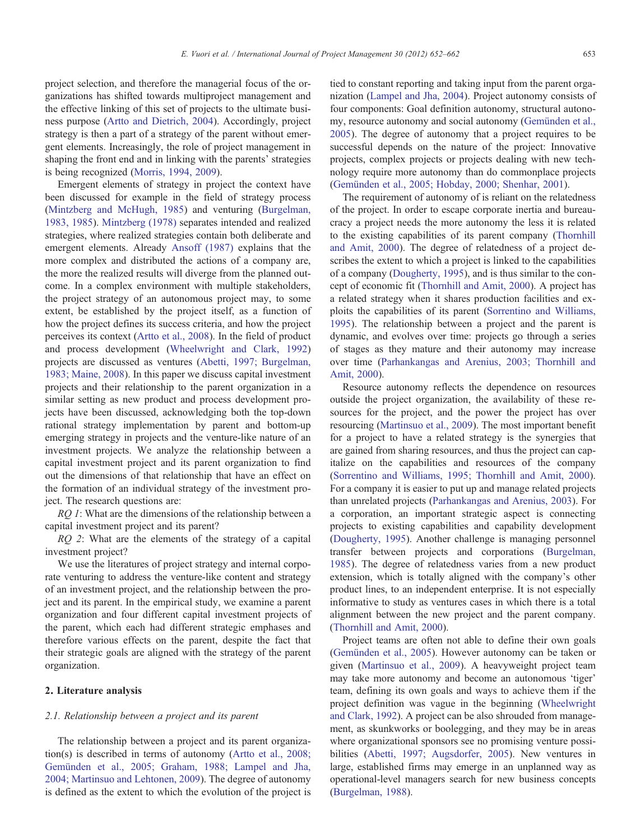project selection, and therefore the managerial focus of the organizations has shifted towards multiproject management and the effective linking of this set of projects to the ultimate business purpose [\(Artto and Dietrich, 2004\)](#page--1-0). Accordingly, project strategy is then a part of a strategy of the parent without emergent elements. Increasingly, the role of project management in shaping the front end and in linking with the parents' strategies is being recognized ([Morris, 1994, 2009](#page--1-0)).

Emergent elements of strategy in project the context have been discussed for example in the field of strategy process ([Mintzberg and McHugh, 1985\)](#page--1-0) and venturing [\(Burgelman,](#page--1-0) [1983, 1985\)](#page--1-0). [Mintzberg \(1978\)](#page--1-0) separates intended and realized strategies, where realized strategies contain both deliberate and emergent elements. Already [Ansoff \(1987\)](#page--1-0) explains that the more complex and distributed the actions of a company are, the more the realized results will diverge from the planned outcome. In a complex environment with multiple stakeholders, the project strategy of an autonomous project may, to some extent, be established by the project itself, as a function of how the project defines its success criteria, and how the project perceives its context [\(Artto et al., 2008\)](#page--1-0). In the field of product and process development [\(Wheelwright and Clark, 1992](#page--1-0)) projects are discussed as ventures [\(Abetti, 1997; Burgelman,](#page--1-0) [1983; Maine, 2008\)](#page--1-0). In this paper we discuss capital investment projects and their relationship to the parent organization in a similar setting as new product and process development projects have been discussed, acknowledging both the top-down rational strategy implementation by parent and bottom-up emerging strategy in projects and the venture-like nature of an investment projects. We analyze the relationship between a capital investment project and its parent organization to find out the dimensions of that relationship that have an effect on the formation of an individual strategy of the investment project. The research questions are:

RQ 1: What are the dimensions of the relationship between a capital investment project and its parent?

RQ 2: What are the elements of the strategy of a capital investment project?

We use the literatures of project strategy and internal corporate venturing to address the venture-like content and strategy of an investment project, and the relationship between the project and its parent. In the empirical study, we examine a parent organization and four different capital investment projects of the parent, which each had different strategic emphases and therefore various effects on the parent, despite the fact that their strategic goals are aligned with the strategy of the parent organization.

### 2. Literature analysis

#### 2.1. Relationship between a project and its parent

The relationship between a project and its parent organization(s) is described in terms of autonomy ([Artto et al., 2008;](#page--1-0) [Gemünden et al., 2005; Graham, 1988; Lampel and Jha,](#page--1-0) [2004; Martinsuo and Lehtonen, 2009](#page--1-0)). The degree of autonomy is defined as the extent to which the evolution of the project is tied to constant reporting and taking input from the parent organization [\(Lampel and Jha, 2004](#page--1-0)). Project autonomy consists of four components: Goal definition autonomy, structural autonomy, resource autonomy and social autonomy ([Gemünden et al.,](#page--1-0) [2005](#page--1-0)). The degree of autonomy that a project requires to be successful depends on the nature of the project: Innovative projects, complex projects or projects dealing with new technology require more autonomy than do commonplace projects ([Gemünden et al., 2005; Hobday, 2000; Shenhar, 2001\)](#page--1-0).

The requirement of autonomy of is reliant on the relatedness of the project. In order to escape corporate inertia and bureaucracy a project needs the more autonomy the less it is related to the existing capabilities of its parent company [\(Thornhill](#page--1-0) [and Amit, 2000](#page--1-0)). The degree of relatedness of a project describes the extent to which a project is linked to the capabilities of a company ([Dougherty, 1995](#page--1-0)), and is thus similar to the concept of economic fit ([Thornhill and Amit, 2000\)](#page--1-0). A project has a related strategy when it shares production facilities and exploits the capabilities of its parent ([Sorrentino and Williams,](#page--1-0) [1995](#page--1-0)). The relationship between a project and the parent is dynamic, and evolves over time: projects go through a series of stages as they mature and their autonomy may increase over time ([Parhankangas and Arenius, 2003; Thornhill and](#page--1-0) [Amit, 2000](#page--1-0)).

Resource autonomy reflects the dependence on resources outside the project organization, the availability of these resources for the project, and the power the project has over resourcing ([Martinsuo et al., 2009](#page--1-0)). The most important benefit for a project to have a related strategy is the synergies that are gained from sharing resources, and thus the project can capitalize on the capabilities and resources of the company ([Sorrentino and Williams, 1995; Thornhill and Amit, 2000\)](#page--1-0). For a company it is easier to put up and manage related projects than unrelated projects [\(Parhankangas and Arenius, 2003](#page--1-0)). For a corporation, an important strategic aspect is connecting projects to existing capabilities and capability development ([Dougherty, 1995](#page--1-0)). Another challenge is managing personnel transfer between projects and corporations [\(Burgelman,](#page--1-0) [1985](#page--1-0)). The degree of relatedness varies from a new product extension, which is totally aligned with the company's other product lines, to an independent enterprise. It is not especially informative to study as ventures cases in which there is a total alignment between the new project and the parent company. ([Thornhill and Amit, 2000](#page--1-0)).

Project teams are often not able to define their own goals ([Gemünden et al., 2005\)](#page--1-0). However autonomy can be taken or given [\(Martinsuo et al., 2009\)](#page--1-0). A heavyweight project team may take more autonomy and become an autonomous 'tiger' team, defining its own goals and ways to achieve them if the project definition was vague in the beginning ([Wheelwright](#page--1-0) [and Clark, 1992\)](#page--1-0). A project can be also shrouded from management, as skunkworks or boolegging, and they may be in areas where organizational sponsors see no promising venture possibilities ([Abetti, 1997; Augsdorfer, 2005\)](#page--1-0). New ventures in large, established firms may emerge in an unplanned way as operational-level managers search for new business concepts ([Burgelman, 1988](#page--1-0)).